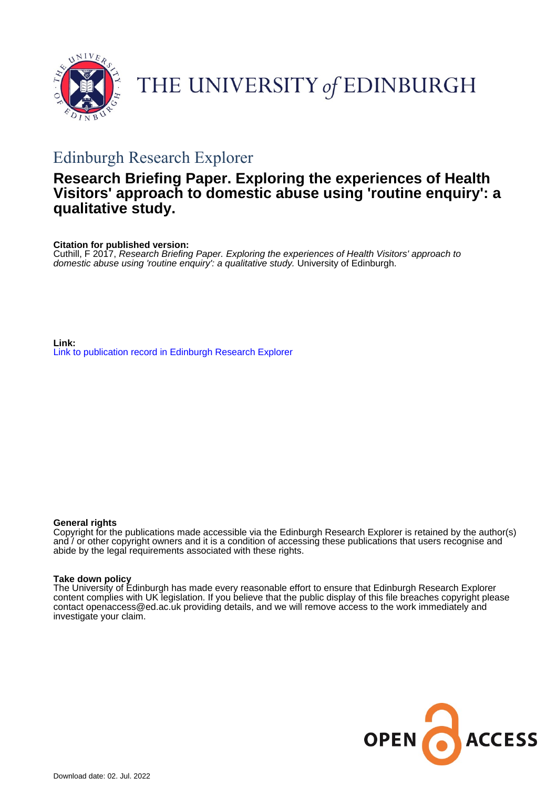

# THE UNIVERSITY of EDINBURGH

## Edinburgh Research Explorer

### **Research Briefing Paper. Exploring the experiences of Health Visitors' approach to domestic abuse using 'routine enquiry': a qualitative study.**

**Citation for published version:**

Cuthill, F 2017, Research Briefing Paper. Exploring the experiences of Health Visitors' approach to domestic abuse using 'routine enquiry': a qualitative study. University of Edinburgh.

**Link:** [Link to publication record in Edinburgh Research Explorer](https://www.research.ed.ac.uk/en/publications/0832dd85-c9b1-4d42-b50a-feeb268825a7)

#### **General rights**

Copyright for the publications made accessible via the Edinburgh Research Explorer is retained by the author(s) and / or other copyright owners and it is a condition of accessing these publications that users recognise and abide by the legal requirements associated with these rights.

#### **Take down policy**

The University of Edinburgh has made every reasonable effort to ensure that Edinburgh Research Explorer content complies with UK legislation. If you believe that the public display of this file breaches copyright please contact openaccess@ed.ac.uk providing details, and we will remove access to the work immediately and investigate your claim.

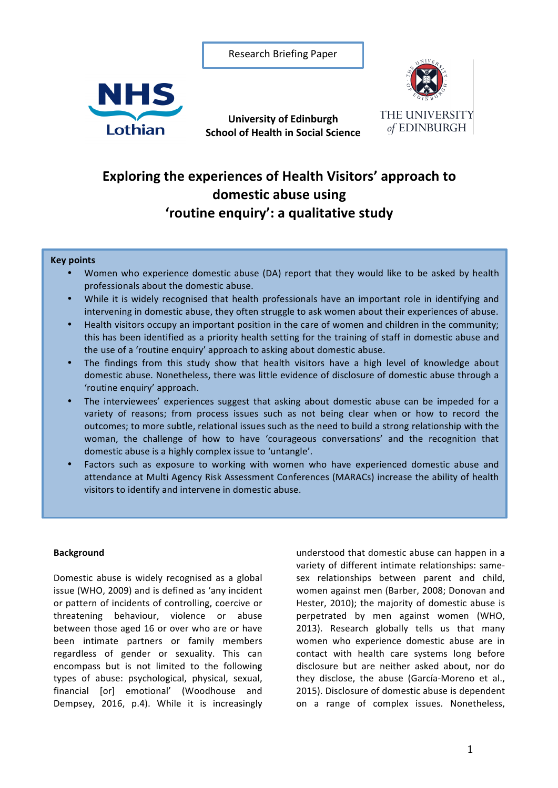Research Briefing Paper

**University of Edinburgh School of Health in Social Science** 





### **Exploring the experiences of Health Visitors' approach to** domestic abuse using **'routine enquiry': a qualitative study**

#### **Key points**

- Women who experience domestic abuse (DA) report that they would like to be asked by health professionals about the domestic abuse.
- While it is widely recognised that health professionals have an important role in identifying and intervening in domestic abuse, they often struggle to ask women about their experiences of abuse.
- Health visitors occupy an important position in the care of women and children in the community; this has been identified as a priority health setting for the training of staff in domestic abuse and the use of a 'routine enquiry' approach to asking about domestic abuse.
- The findings from this study show that health visitors have a high level of knowledge about domestic abuse. Nonetheless, there was little evidence of disclosure of domestic abuse through a 'routine enquiry' approach.
- The interviewees' experiences suggest that asking about domestic abuse can be impeded for a variety of reasons; from process issues such as not being clear when or how to record the outcomes; to more subtle, relational issues such as the need to build a strong relationship with the woman, the challenge of how to have 'courageous conversations' and the recognition that domestic abuse is a highly complex issue to 'untangle'.
- Factors such as exposure to working with women who have experienced domestic abuse and attendance at Multi Agency Risk Assessment Conferences (MARACs) increase the ability of health visitors to identify and intervene in domestic abuse.

#### **Background**

Domestic abuse is widely recognised as a global issue (WHO, 2009) and is defined as 'any incident or pattern of incidents of controlling, coercive or threatening behaviour, violence or abuse between those aged 16 or over who are or have been intimate partners or family members regardless of gender or sexuality. This can encompass but is not limited to the following types of abuse: psychological, physical, sexual, financial [or] emotional' (Woodhouse and Dempsey, 2016, p.4). While it is increasingly

understood that domestic abuse can happen in a variety of different intimate relationships: samesex relationships between parent and child, women against men (Barber, 2008; Donovan and Hester, 2010); the majority of domestic abuse is perpetrated by men against women (WHO, 2013). Research globally tells us that many women who experience domestic abuse are in contact with health care systems long before disclosure but are neither asked about, nor do they disclose, the abuse (García-Moreno et al., 2015). Disclosure of domestic abuse is dependent on a range of complex issues. Nonetheless,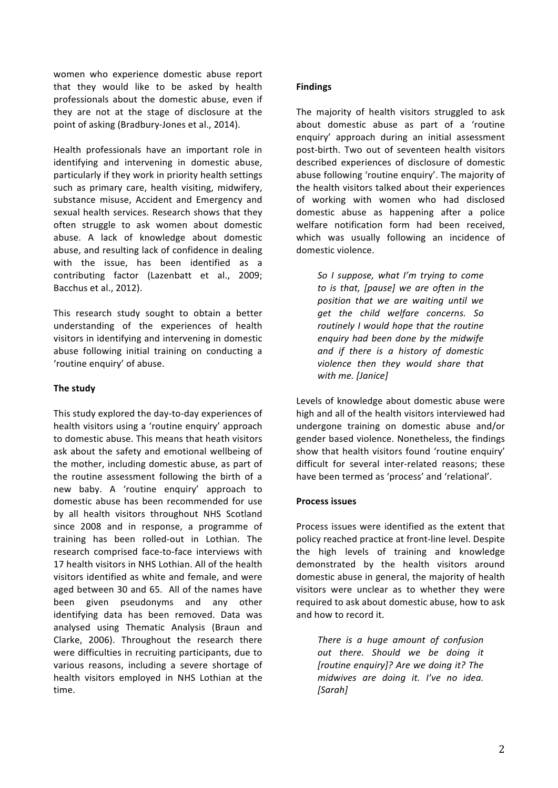women who experience domestic abuse report that they would like to be asked by health professionals about the domestic abuse, even if they are not at the stage of disclosure at the point of asking (Bradbury-Jones et al., 2014).

Health professionals have an important role in identifying and intervening in domestic abuse, particularly if they work in priority health settings such as primary care, health visiting, midwifery, substance misuse, Accident and Emergency and sexual health services. Research shows that they often struggle to ask women about domestic abuse. A lack of knowledge about domestic abuse, and resulting lack of confidence in dealing with the issue, has been identified as a contributing factor (Lazenbatt et al., 2009; Bacchus et al., 2012).

This research study sought to obtain a better understanding of the experiences of health visitors in identifying and intervening in domestic abuse following initial training on conducting a 'routine enquiry' of abuse.

#### **The study**

This study explored the day-to-day experiences of health visitors using a 'routine enquiry' approach to domestic abuse. This means that heath visitors ask about the safety and emotional wellbeing of the mother, including domestic abuse, as part of the routine assessment following the birth of a new baby. A 'routine enquiry' approach to domestic abuse has been recommended for use by all health visitors throughout NHS Scotland since 2008 and in response, a programme of training has been rolled-out in Lothian. The research comprised face-to-face interviews with 17 health visitors in NHS Lothian. All of the health visitors identified as white and female, and were aged between 30 and 65. All of the names have been given pseudonyms and any other identifying data has been removed. Data was analysed using Thematic Analysis (Braun and Clarke, 2006). Throughout the research there were difficulties in recruiting participants, due to various reasons, including a severe shortage of health visitors employed in NHS Lothian at the time.

#### **Findings**

The majority of health visitors struggled to ask about domestic abuse as part of a 'routine enquiry' approach during an initial assessment post-birth. Two out of seventeen health visitors described experiences of disclosure of domestic abuse following 'routine enquiry'. The majority of the health visitors talked about their experiences of working with women who had disclosed domestic abuse as happening after a police welfare notification form had been received. which was usually following an incidence of domestic violence.

*So I suppose, what I'm trying to come to* is that, [pause] we are often in the *position that we are waiting until we get the child welfare concerns. So routinely I would hope that the routine enquiry had been done by the midwife*  and if there is a history of domestic violence then they would share that *with me. [Janice]*

Levels of knowledge about domestic abuse were high and all of the health visitors interviewed had undergone training on domestic abuse and/or gender based violence. Nonetheless, the findings show that health visitors found 'routine enquiry' difficult for several inter-related reasons; these have been termed as 'process' and 'relational'.

#### **Process issues**

Process issues were identified as the extent that policy reached practice at front-line level. Despite the high levels of training and knowledge demonstrated by the health visitors around domestic abuse in general, the majority of health visitors were unclear as to whether they were required to ask about domestic abuse, how to ask and how to record it.

*There is a huge amount of confusion out there. Should we be doing it [routine enquiry]?* Are we doing it? The *midwives are doing it. I've no idea. [Sarah]*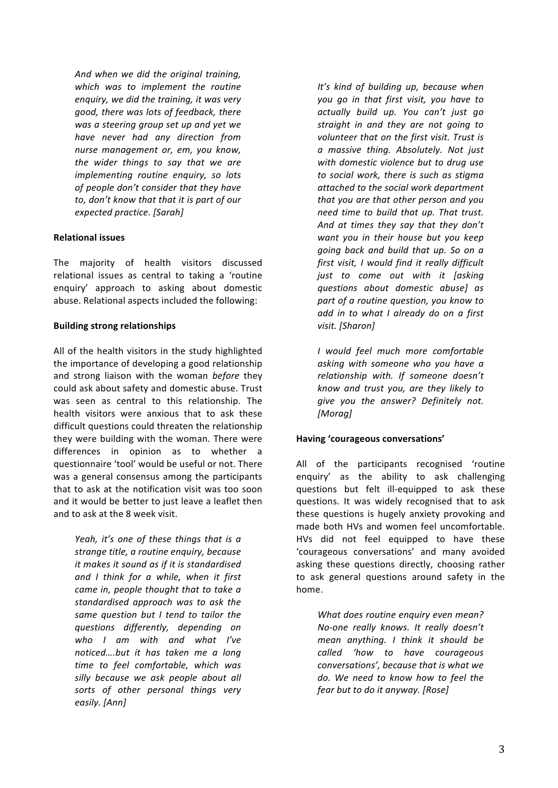And when we did the original training, which was to implement the routine enquiry, we did the training, it was very good, there was lots of feedback, there *was a steering group set up and yet we have never had any direction from nurse management or, em, you know, the wider things to say that we are implementing routine enquiry, so lots of people don't consider that they have* to, don't know that that it is part of our *expected practice. [Sarah]*

#### **Relational issues**

The majority of health visitors discussed relational issues as central to taking a 'routine enquiry' approach to asking about domestic abuse. Relational aspects included the following:

#### **Building strong relationships**

All of the health visitors in the study highlighted the importance of developing a good relationship and strong liaison with the woman *before* they could ask about safety and domestic abuse. Trust was seen as central to this relationship. The health visitors were anxious that to ask these difficult questions could threaten the relationship they were building with the woman. There were differences in opinion as to whether a questionnaire 'tool' would be useful or not. There was a general consensus among the participants that to ask at the notification visit was too soon and it would be better to just leave a leaflet then and to ask at the 8 week visit.

> *Yeah, it's one of these things that is a strange title, a routine enquiry, because it* makes it sound as if it is standardised and I think for a while, when it first *came in, people thought that to take a standardised approach was to ask the*  same question but I tend to tailor the *questions differently, depending on who I am with and what I've noticed….but it has taken me a long time to feel comfortable, which was*  silly because we ask people about all sorts of other personal things very *easily. [Ann]*

*It's* kind of building up, because when *vou* go in that first visit, you have to *actually build up. You can't just go straight in and they are not going to volunteer that on the first visit. Trust is a massive thing. Absolutely. Not just*  with domestic violence but to drug use to social work, there is such as stigma attached to the social work department *that you are that other person and you need time to build that up. That trust.* And at times they say that they don't want you in their house but you keep going back and build that up. So on a first visit, I would find it really difficult *just* to come out with it *[asking questions about domestic abuse] as part of a routine question, you know to* add in to what I already do on a first *visit. [Sharon]* 

*I would feel much more comfortable*  asking with someone who you have a *relationship with. If someone doesn't know and trust you, are they likely to*  give you the answer? Definitely not. *[Morag]* 

#### **Having 'courageous conversations'**

All of the participants recognised 'routine enquiry' as the ability to ask challenging questions but felt ill-equipped to ask these questions. It was widely recognised that to ask these questions is hugely anxiety provoking and made both HVs and women feel uncomfortable. HVs did not feel equipped to have these 'courageous conversations' and many avoided asking these questions directly, choosing rather to ask general questions around safety in the home.

*What does routine enquiry even mean? No-one really knows. It really doesn't mean anything. I think it should be called 'how to have courageous*  conversations', because that is what we do. We need to know how to feel the *fear but to do it anyway.* [Rose]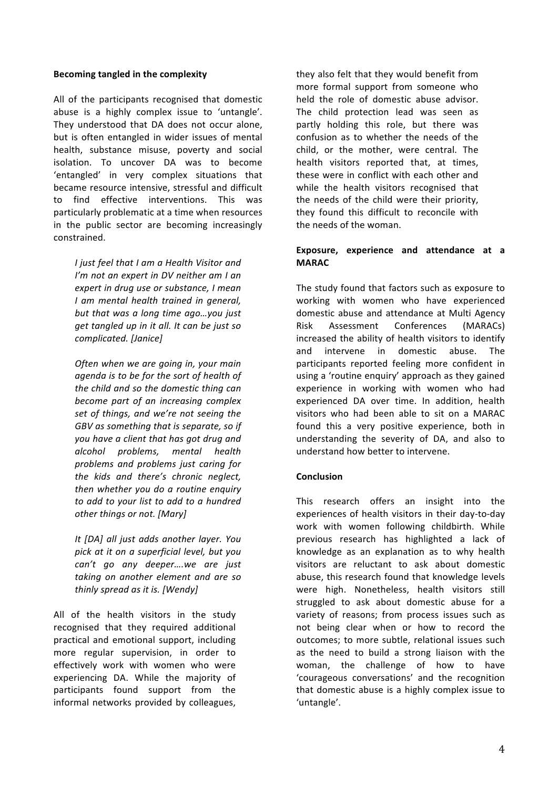#### **Becoming tangled in the complexity**

All of the participants recognised that domestic abuse is a highly complex issue to 'untangle'. They understood that DA does not occur alone, but is often entangled in wider issues of mental health, substance misuse, poverty and social isolation. To uncover DA was to become 'entangled' in very complex situations that became resource intensive, stressful and difficult to find effective interventions. This was particularly problematic at a time when resources in the public sector are becoming increasingly constrained. 

> *I* just feel that *I* am a Health Visitor and *I'm* not an expert in DV neither am I an *expert in drug use or substance, I mean I am mental health trained in general,*  but that was a long time ago...you just *get tangled up in it all. It can be just so complicated. [Janice]*

> *Often when we are going in, your main agenda is to be for the sort of health of the child and so the domestic thing can* become part of an increasing complex set of things, and we're not seeing the GBV as something that is separate, so if *you have a client that has got drug and alcohol problems, mental health problems and problems just caring for*  the kids and there's chronic neglect, *then whether you do a routine enquiry to add to your list to add to a hundred other things or not.* [Mary]

> *It [DA] all just adds another layer. You*  pick at it on a superficial level, but you *can't go any deeper….we are just*  taking on another element and are so *thinly spread as it is. [Wendy]*

All of the health visitors in the study recognised that they required additional practical and emotional support, including more regular supervision, in order to effectively work with women who were experiencing DA. While the majority of participants found support from the informal networks provided by colleagues,

they also felt that they would benefit from more formal support from someone who held the role of domestic abuse advisor. The child protection lead was seen as partly holding this role, but there was confusion as to whether the needs of the child, or the mother, were central. The health visitors reported that, at times, these were in conflict with each other and while the health visitors recognised that the needs of the child were their priority, they found this difficult to reconcile with the needs of the woman.

#### Exposure, experience and attendance at a **MARAC**

The study found that factors such as exposure to working with women who have experienced domestic abuse and attendance at Multi Agency Risk Assessment Conferences (MARACs) increased the ability of health visitors to identify and intervene in domestic abuse. The participants reported feeling more confident in using a 'routine enquiry' approach as they gained experience in working with women who had experienced DA over time. In addition, health visitors who had been able to sit on a MARAC found this a very positive experience, both in understanding the severity of DA, and also to understand how better to intervene.

#### **Conclusion**

This research offers an insight into the experiences of health visitors in their day-to-day work with women following childbirth. While previous research has highlighted a lack of knowledge as an explanation as to why health visitors are reluctant to ask about domestic abuse, this research found that knowledge levels were high. Nonetheless, health visitors still struggled to ask about domestic abuse for a variety of reasons; from process issues such as not being clear when or how to record the outcomes; to more subtle, relational issues such as the need to build a strong liaison with the woman, the challenge of how to have 'courageous conversations' and the recognition that domestic abuse is a highly complex issue to 'untangle'.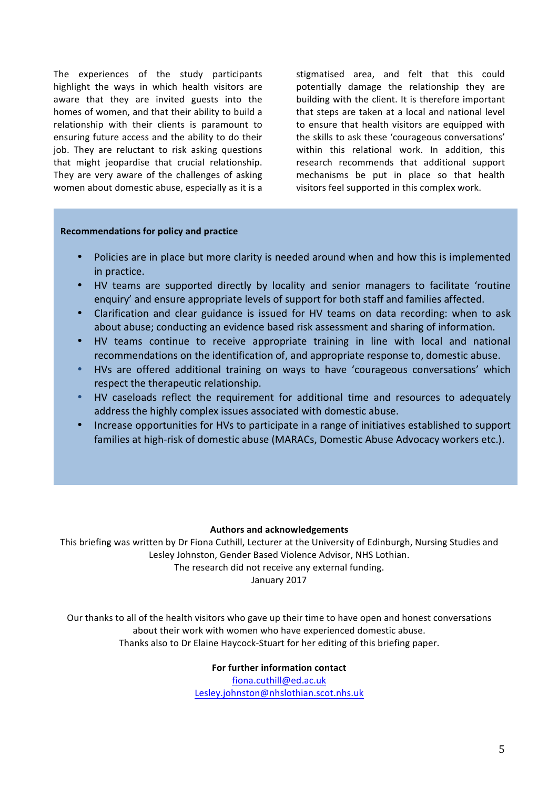The experiences of the study participants highlight the ways in which health visitors are aware that they are invited guests into the homes of women, and that their ability to build a relationship with their clients is paramount to ensuring future access and the ability to do their job. They are reluctant to risk asking questions that might jeopardise that crucial relationship. They are very aware of the challenges of asking women about domestic abuse, especially as it is a stigmatised area, and felt that this could potentially damage the relationship they are building with the client. It is therefore important that steps are taken at a local and national level to ensure that health visitors are equipped with the skills to ask these 'courageous conversations' within this relational work. In addition, this research recommends that additional support mechanisms be put in place so that health visitors feel supported in this complex work.

#### **Recommendations for policy and practice**

- Policies are in place but more clarity is needed around when and how this is implemented in practice.
- HV teams are supported directly by locality and senior managers to facilitate 'routine enquiry' and ensure appropriate levels of support for both staff and families affected.
- Clarification and clear guidance is issued for HV teams on data recording: when to ask about abuse; conducting an evidence based risk assessment and sharing of information.
- HV teams continue to receive appropriate training in line with local and national recommendations on the identification of, and appropriate response to, domestic abuse.
- HVs are offered additional training on ways to have 'courageous conversations' which respect the therapeutic relationship.
- HV caseloads reflect the requirement for additional time and resources to adequately address the highly complex issues associated with domestic abuse.
- Increase opportunities for HVs to participate in a range of initiatives established to support families at high-risk of domestic abuse (MARACs, Domestic Abuse Advocacy workers etc.).

#### **Authors and acknowledgements**

This briefing was written by Dr Fiona Cuthill, Lecturer at the University of Edinburgh, Nursing Studies and Lesley Johnston, Gender Based Violence Advisor, NHS Lothian.

The research did not receive any external funding.

January 2017

Our thanks to all of the health visitors who gave up their time to have open and honest conversations about their work with women who have experienced domestic abuse. Thanks also to Dr Elaine Haycock-Stuart for her editing of this briefing paper.

#### **For further information contact**

fiona.cuthill@ed.ac.uk Lesley.johnston@nhslothian.scot.nhs.uk